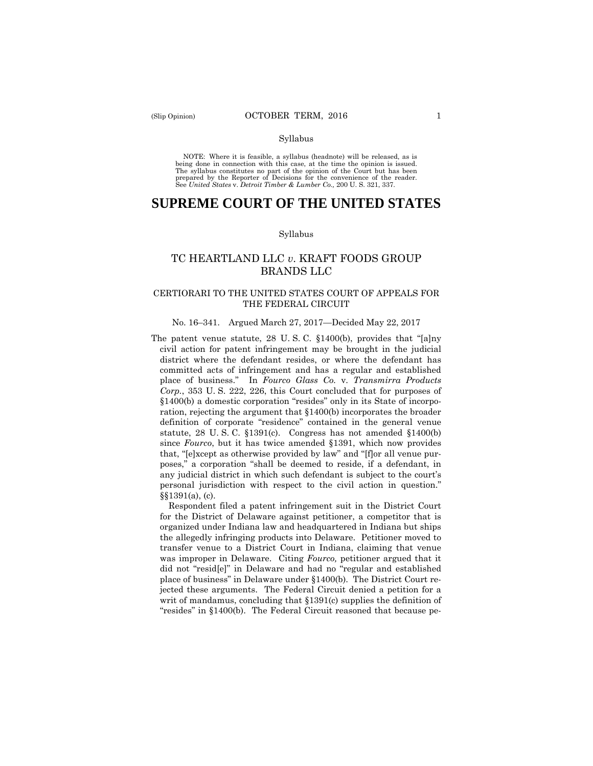#### Syllabus

 NOTE: Where it is feasible, a syllabus (headnote) will be released, as is being done in connection with this case, at the time the opinion is issued. The syllabus constitutes no part of the opinion of the Court but has been<br>prepared by the Reporter of Decisions for the convenience of the reader.<br>See United States v. Detroit Timber & Lumber Co., 200 U.S. 321, 337.

# **SUPREME COURT OF THE UNITED STATES**

#### Syllabus

# TC HEARTLAND LLC *v*. KRAFT FOODS GROUP BRANDS LLC

# CERTIORARI TO THE UNITED STATES COURT OF APPEALS FOR THE FEDERAL CIRCUIT

## No. 16–341. Argued March 27, 2017—Decided May 22, 2017

The patent venue statute, 28 U. S. C. §1400(b), provides that "[a]ny civil action for patent infringement may be brought in the judicial district where the defendant resides, or where the defendant has committed acts of infringement and has a regular and established place of business." In *Fourco Glass Co.* v. *Transmirra Products Corp.*, 353 U. S. 222, 226, this Court concluded that for purposes of §1400(b) a domestic corporation "resides" only in its State of incorporation, rejecting the argument that §1400(b) incorporates the broader definition of corporate "residence" contained in the general venue statute, 28 U. S. C. §1391(c). Congress has not amended §1400(b) since *Fourco*, but it has twice amended §1391, which now provides that, "[e]xcept as otherwise provided by law" and "[f]or all venue purposes," a corporation "shall be deemed to reside, if a defendant, in any judicial district in which such defendant is subject to the court's personal jurisdiction with respect to the civil action in question." §§1391(a), (c).

Respondent filed a patent infringement suit in the District Court for the District of Delaware against petitioner, a competitor that is organized under Indiana law and headquartered in Indiana but ships the allegedly infringing products into Delaware. Petitioner moved to transfer venue to a District Court in Indiana, claiming that venue was improper in Delaware. Citing *Fourco,* petitioner argued that it did not "resid[e]" in Delaware and had no "regular and established place of business" in Delaware under §1400(b). The District Court rejected these arguments. The Federal Circuit denied a petition for a writ of mandamus, concluding that §1391(c) supplies the definition of "resides" in §1400(b). The Federal Circuit reasoned that because pe-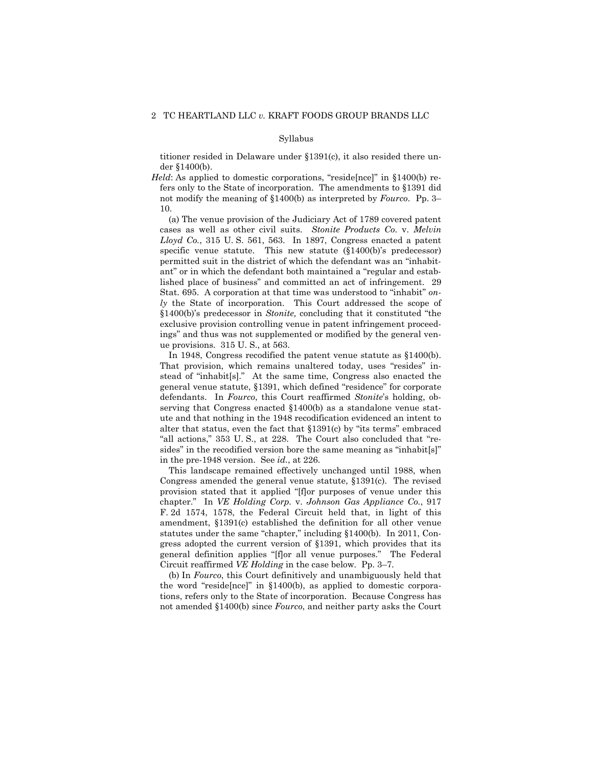#### Syllabus

titioner resided in Delaware under §1391(c), it also resided there under §1400(b).

*Held*: As applied to domestic corporations, "reside[nce]" in §1400(b) refers only to the State of incorporation. The amendments to §1391 did not modify the meaning of §1400(b) as interpreted by *Fourco*. Pp. 3– 10.

 cases as well as other civil suits. *Stonite Products Co.* v. *Melvin*  (a) The venue provision of the Judiciary Act of 1789 covered patent *Lloyd Co.*, 315 U. S. 561, 563. In 1897, Congress enacted a patent specific venue statute. This new statute (§1400(b)'s predecessor) permitted suit in the district of which the defendant was an "inhabitant" or in which the defendant both maintained a "regular and established place of business" and committed an act of infringement. 29 Stat. 695. A corporation at that time was understood to "inhabit" *only* the State of incorporation. This Court addressed the scope of §1400(b)'s predecessor in *Stonite,* concluding that it constituted "the exclusive provision controlling venue in patent infringement proceedings" and thus was not supplemented or modified by the general venue provisions. 315 U. S., at 563.

 In 1948, Congress recodified the patent venue statute as §1400(b). That provision, which remains unaltered today, uses "resides" instead of "inhabit[s]." At the same time, Congress also enacted the general venue statute, §1391, which defined "residence" for corporate defendants. In *Fourco*, this Court reaffirmed *Stonite*'s holding, observing that Congress enacted §1400(b) as a standalone venue statute and that nothing in the 1948 recodification evidenced an intent to alter that status, even the fact that §1391(c) by "its terms" embraced "all actions," 353 U. S., at 228. The Court also concluded that "resides" in the recodified version bore the same meaning as "inhabit[s]" in the pre-1948 version. See *id.*, at 226.

This landscape remained effectively unchanged until 1988, when Congress amended the general venue statute, §1391(c). The revised provision stated that it applied "[f]or purposes of venue under this chapter." In *VE Holding Corp.* v. *Johnson Gas Appliance Co.*, 917 F. 2d 1574, 1578, the Federal Circuit held that, in light of this amendment, §1391(c) established the definition for all other venue statutes under the same "chapter," including §1400(b). In 2011, Congress adopted the current version of §1391, which provides that its general definition applies "[f]or all venue purposes." The Federal Circuit reaffirmed *VE Holding* in the case below*.* Pp. 3–7.

(b) In *Fourco*, this Court definitively and unambiguously held that the word "reside[nce]" in §1400(b), as applied to domestic corporations, refers only to the State of incorporation. Because Congress has not amended §1400(b) since *Fourco*, and neither party asks the Court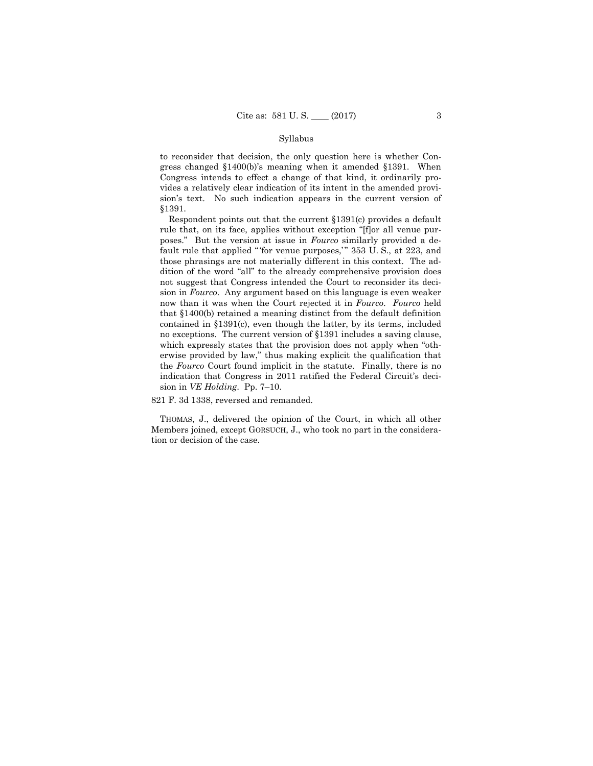## Syllabus

to reconsider that decision, the only question here is whether Congress changed §1400(b)'s meaning when it amended §1391. When Congress intends to effect a change of that kind, it ordinarily provides a relatively clear indication of its intent in the amended provision's text. No such indication appears in the current version of §1391.

 contained in §1391(c), even though the latter, by its terms, included Respondent points out that the current §1391(c) provides a default rule that, on its face, applies without exception "[f]or all venue purposes." But the version at issue in *Fourco* similarly provided a default rule that applied "'for venue purposes,'" 353 U.S., at 223, and those phrasings are not materially different in this context. The addition of the word "all" to the already comprehensive provision does not suggest that Congress intended the Court to reconsider its decision in *Fourco*. Any argument based on this language is even weaker now than it was when the Court rejected it in *Fourco*. *Fourco* held that §1400(b) retained a meaning distinct from the default definition no exceptions. The current version of §1391 includes a saving clause, which expressly states that the provision does not apply when "otherwise provided by law," thus making explicit the qualification that the *Fourco* Court found implicit in the statute. Finally, there is no indication that Congress in 2011 ratified the Federal Circuit's decision in *VE Holding*. Pp. 7–10.

821 F. 3d 1338, reversed and remanded.

THOMAS, J., delivered the opinion of the Court, in which all other Members joined, except GORSUCH, J., who took no part in the consideration or decision of the case.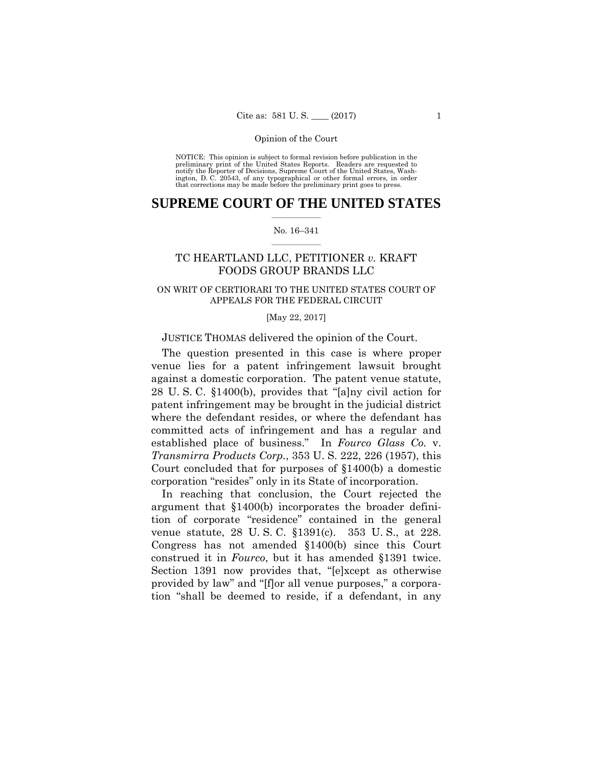preliminary print of the United States Reports. Readers are requested to notify the Reporter of Decisions, Supreme Court of the United States, Wash- ington, D. C. 20543, of any typographical or other formal errors, in order that corrections may be made before the preliminary print goes to press. NOTICE: This opinion is subject to formal revision before publication in the

# $\frac{1}{2}$  ,  $\frac{1}{2}$  ,  $\frac{1}{2}$  ,  $\frac{1}{2}$  ,  $\frac{1}{2}$  ,  $\frac{1}{2}$  ,  $\frac{1}{2}$ **SUPREME COURT OF THE UNITED STATES**

## $\frac{1}{2}$  ,  $\frac{1}{2}$  ,  $\frac{1}{2}$  ,  $\frac{1}{2}$  ,  $\frac{1}{2}$  ,  $\frac{1}{2}$ No. 16–341

# TC HEARTLAND LLC, PETITIONER *v.* KRAFT FOODS GROUP BRANDS LLC

# ON WRIT OF CERTIORARI TO THE UNITED STATES COURT OF APPEALS FOR THE FEDERAL CIRCUIT

#### [May 22, 2017]

# JUSTICE THOMAS delivered the opinion of the Court.

The question presented in this case is where proper venue lies for a patent infringement lawsuit brought against a domestic corporation. The patent venue statute, 28 U. S. C. §1400(b), provides that "[a]ny civil action for patent infringement may be brought in the judicial district where the defendant resides, or where the defendant has committed acts of infringement and has a regular and established place of business." In *Fourco Glass Co.* v. *Transmirra Products Corp.*, 353 U. S. 222, 226 (1957), this Court concluded that for purposes of §1400(b) a domestic corporation "resides" only in its State of incorporation.

In reaching that conclusion, the Court rejected the argument that §1400(b) incorporates the broader definition of corporate "residence" contained in the general venue statute, 28 U. S. C. §1391(c). 353 U. S., at 228. Congress has not amended §1400(b) since this Court construed it in *Fourco*, but it has amended §1391 twice. Section 1391 now provides that, "[e]xcept as otherwise provided by law" and "[f]or all venue purposes," a corporation "shall be deemed to reside, if a defendant, in any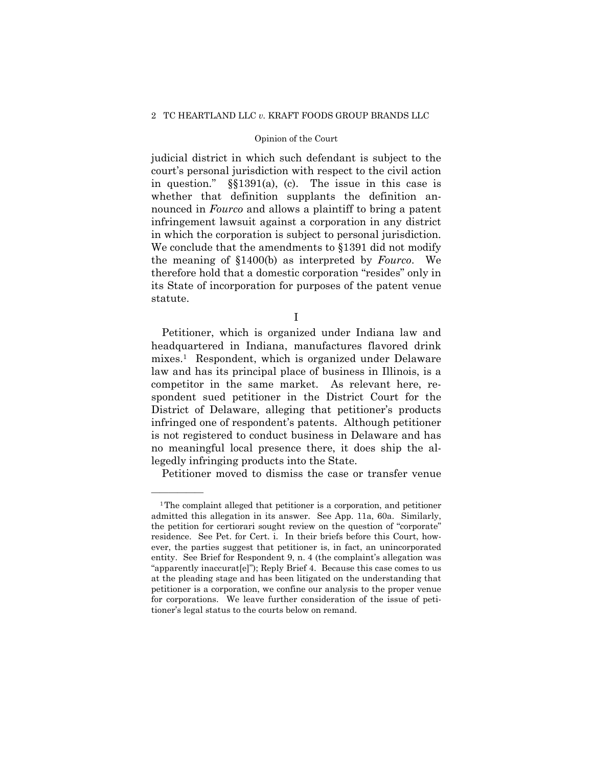## 2 TC HEARTLAND LLC *v.* KRAFT FOODS GROUP BRANDS LLC

## Opinion of the Court

 in which the corporation is subject to personal jurisdiction. judicial district in which such defendant is subject to the court's personal jurisdiction with respect to the civil action in question." §§1391(a), (c). The issue in this case is whether that definition supplants the definition announced in *Fourco* and allows a plaintiff to bring a patent infringement lawsuit against a corporation in any district We conclude that the amendments to §1391 did not modify the meaning of §1400(b) as interpreted by *Fourco*. We therefore hold that a domestic corporation "resides" only in its State of incorporation for purposes of the patent venue statute.

I

Petitioner, which is organized under Indiana law and headquartered in Indiana, manufactures flavored drink mixes.1 Respondent, which is organized under Delaware law and has its principal place of business in Illinois, is a competitor in the same market. As relevant here, respondent sued petitioner in the District Court for the District of Delaware, alleging that petitioner's products infringed one of respondent's patents. Although petitioner is not registered to conduct business in Delaware and has no meaningful local presence there, it does ship the allegedly infringing products into the State.

Petitioner moved to dismiss the case or transfer venue

——————

 "apparently inaccurat[e]"); Reply Brief 4. Because this case comes to us 1The complaint alleged that petitioner is a corporation, and petitioner admitted this allegation in its answer. See App. 11a, 60a. Similarly, the petition for certiorari sought review on the question of "corporate" residence. See Pet. for Cert. i. In their briefs before this Court, however, the parties suggest that petitioner is, in fact, an unincorporated entity. See Brief for Respondent 9, n. 4 (the complaint's allegation was at the pleading stage and has been litigated on the understanding that petitioner is a corporation, we confine our analysis to the proper venue for corporations. We leave further consideration of the issue of petitioner's legal status to the courts below on remand.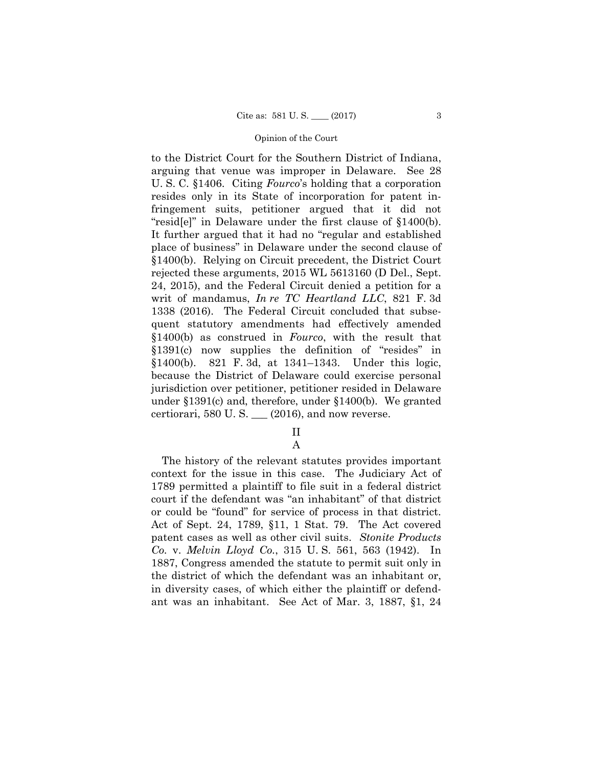to the District Court for the Southern District of Indiana, arguing that venue was improper in Delaware. See 28 U. S. C. §1406. Citing *Fourco*'s holding that a corporation resides only in its State of incorporation for patent infringement suits, petitioner argued that it did not "resid[e]" in Delaware under the first clause of §1400(b). It further argued that it had no "regular and established place of business" in Delaware under the second clause of §1400(b). Relying on Circuit precedent, the District Court rejected these arguments, 2015 WL 5613160 (D Del., Sept. 24, 2015), and the Federal Circuit denied a petition for a writ of mandamus, *In re TC Heartland LLC*, 821 F. 3d 1338 (2016). The Federal Circuit concluded that subsequent statutory amendments had effectively amended §1400(b) as construed in *Fourco*, with the result that §1391(c) now supplies the definition of "resides" in §1400(b). 821 F. 3d, at 1341–1343. Under this logic, because the District of Delaware could exercise personal jurisdiction over petitioner, petitioner resided in Delaware under §1391(c) and, therefore, under §1400(b). We granted certiorari,  $580$  U. S.  $\_\_$  (2016), and now reverse.

# II

A

The history of the relevant statutes provides important context for the issue in this case. The Judiciary Act of 1789 permitted a plaintiff to file suit in a federal district court if the defendant was "an inhabitant" of that district or could be "found" for service of process in that district. Act of Sept. 24, 1789, §11, 1 Stat. 79. The Act covered patent cases as well as other civil suits. *Stonite Products Co.* v. *Melvin Lloyd Co.*, 315 U. S. 561, 563 (1942). In 1887, Congress amended the statute to permit suit only in the district of which the defendant was an inhabitant or, in diversity cases, of which either the plaintiff or defendant was an inhabitant. See Act of Mar. 3, 1887, §1, 24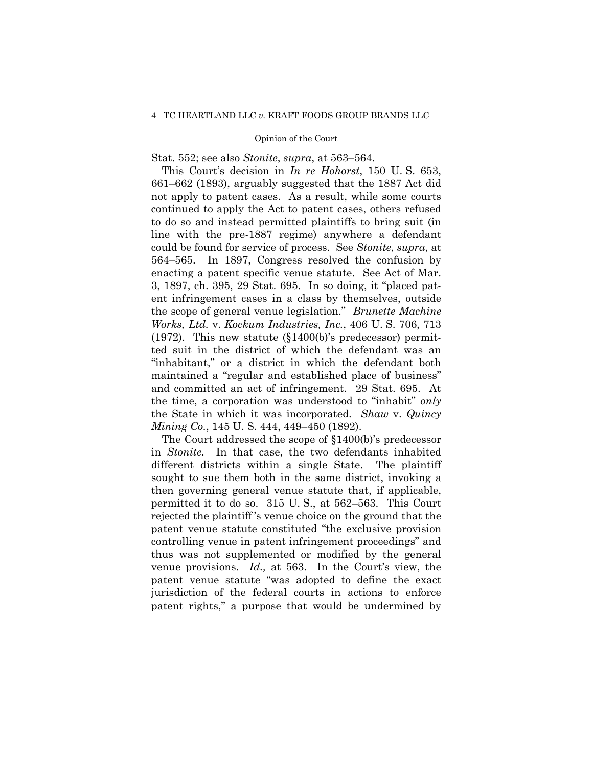Stat. 552; see also *Stonite*, *supra*, at 563–564.

 and committed an act of infringement. 29 Stat. 695. At This Court's decision in *In re Hohorst*, 150 U. S. 653, 661–662 (1893), arguably suggested that the 1887 Act did not apply to patent cases. As a result, while some courts continued to apply the Act to patent cases, others refused to do so and instead permitted plaintiffs to bring suit (in line with the pre-1887 regime) anywhere a defendant could be found for service of process. See *Stonite*, *supra*, at 564–565. In 1897, Congress resolved the confusion by enacting a patent specific venue statute. See Act of Mar. 3, 1897, ch. 395, 29 Stat. 695. In so doing, it "placed patent infringement cases in a class by themselves, outside the scope of general venue legislation." *Brunette Machine Works, Ltd.* v. *Kockum Industries, Inc.*, 406 U. S. 706, 713 (1972). This new statute (§1400(b)'s predecessor) permitted suit in the district of which the defendant was an "inhabitant," or a district in which the defendant both maintained a "regular and established place of business" the time, a corporation was understood to "inhabit" *only* the State in which it was incorporated. *Shaw* v. *Quincy Mining Co.*, 145 U. S. 444, 449–450 (1892).

The Court addressed the scope of §1400(b)'s predecessor in *Stonite*. In that case, the two defendants inhabited different districts within a single State. The plaintiff sought to sue them both in the same district, invoking a then governing general venue statute that, if applicable, permitted it to do so. 315 U. S., at 562–563. This Court rejected the plaintiff 's venue choice on the ground that the patent venue statute constituted "the exclusive provision controlling venue in patent infringement proceedings" and thus was not supplemented or modified by the general venue provisions. *Id.,* at 563. In the Court's view, the patent venue statute "was adopted to define the exact jurisdiction of the federal courts in actions to enforce patent rights," a purpose that would be undermined by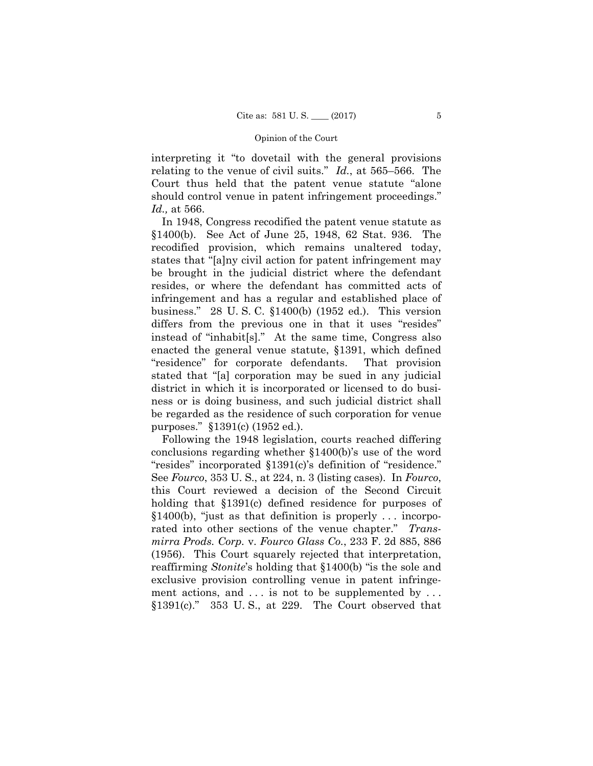interpreting it "to dovetail with the general provisions relating to the venue of civil suits." *Id.*, at 565–566. The Court thus held that the patent venue statute "alone should control venue in patent infringement proceedings." *Id.,* at 566.

In 1948, Congress recodified the patent venue statute as §1400(b). See Act of June 25, 1948, 62 Stat. 936. The recodified provision, which remains unaltered today, states that "[a]ny civil action for patent infringement may be brought in the judicial district where the defendant resides, or where the defendant has committed acts of infringement and has a regular and established place of business." 28 U. S. C. §1400(b) (1952 ed.). This version differs from the previous one in that it uses "resides" instead of "inhabit[s]." At the same time, Congress also enacted the general venue statute, §1391, which defined "residence" for corporate defendants. That provision stated that "[a] corporation may be sued in any judicial district in which it is incorporated or licensed to do business or is doing business, and such judicial district shall be regarded as the residence of such corporation for venue purposes." §1391(c) (1952 ed.).

ment actions, and ... is not to be supplemented by ... Following the 1948 legislation, courts reached differing conclusions regarding whether §1400(b)'s use of the word "resides" incorporated §1391(c)'s definition of "residence." See *Fourco*, 353 U. S., at 224, n. 3 (listing cases). In *Fourco*, this Court reviewed a decision of the Second Circuit holding that §1391(c) defined residence for purposes of §1400(b), "just as that definition is properly . . . incorporated into other sections of the venue chapter." *Transmirra Prods. Corp.* v. *Fourco Glass Co.*, 233 F. 2d 885, 886 (1956). This Court squarely rejected that interpretation, reaffirming *Stonite*'s holding that §1400(b) "is the sole and exclusive provision controlling venue in patent infringe- $$1391(c)$ ." 353 U.S., at 229. The Court observed that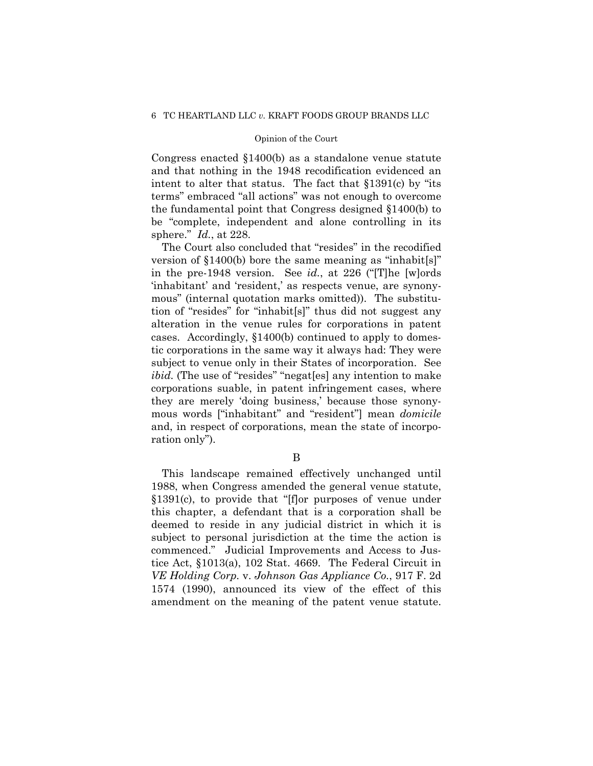Congress enacted §1400(b) as a standalone venue statute and that nothing in the 1948 recodification evidenced an intent to alter that status. The fact that §1391(c) by "its terms" embraced "all actions" was not enough to overcome the fundamental point that Congress designed §1400(b) to be "complete, independent and alone controlling in its sphere." *Id.*, at 228.

The Court also concluded that "resides" in the recodified version of §1400(b) bore the same meaning as "inhabit[s]" in the pre-1948 version. See *id.*, at 226 ("[T]he [w]ords 'inhabitant' and 'resident,' as respects venue, are synonymous" (internal quotation marks omitted)). The substitution of "resides" for "inhabit[s]" thus did not suggest any alteration in the venue rules for corporations in patent cases. Accordingly, §1400(b) continued to apply to domestic corporations in the same way it always had: They were subject to venue only in their States of incorporation. See *ibid.* (The use of "resides" "negat [es] any intention to make corporations suable, in patent infringement cases, where they are merely 'doing business,' because those synonymous words ["inhabitant" and "resident"] mean *domicile*  and, in respect of corporations, mean the state of incorporation only").

B

This landscape remained effectively unchanged until 1988, when Congress amended the general venue statute, §1391(c), to provide that "[f]or purposes of venue under this chapter, a defendant that is a corporation shall be deemed to reside in any judicial district in which it is subject to personal jurisdiction at the time the action is commenced." Judicial Improvements and Access to Justice Act, §1013(a), 102 Stat. 4669. The Federal Circuit in *VE Holding Corp.* v. *Johnson Gas Appliance Co.*, 917 F. 2d 1574 (1990), announced its view of the effect of this amendment on the meaning of the patent venue statute.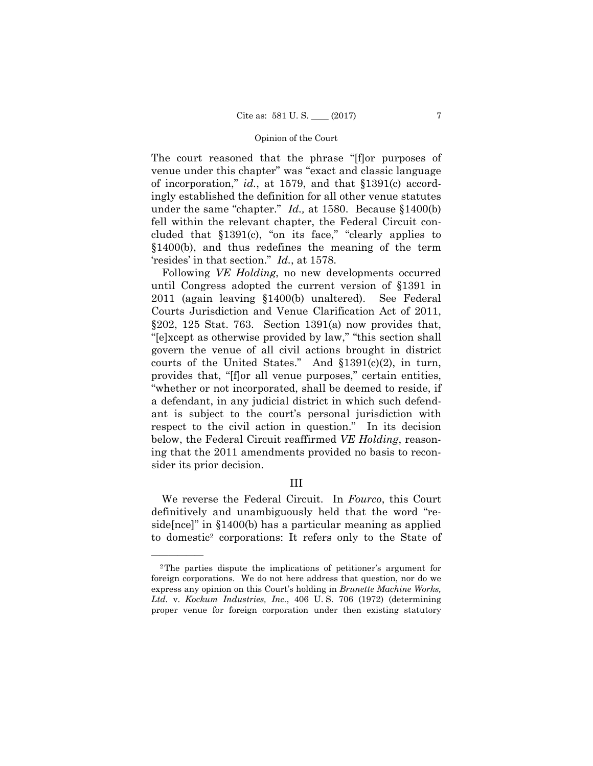The court reasoned that the phrase "[f]or purposes of venue under this chapter" was "exact and classic language of incorporation," *id.*, at 1579, and that §1391(c) accordingly established the definition for all other venue statutes under the same "chapter." *Id.,* at 1580. Because §1400(b) fell within the relevant chapter, the Federal Circuit concluded that §1391(c), "on its face," "clearly applies to §1400(b), and thus redefines the meaning of the term 'resides' in that section." *Id.*, at 1578.

Following *VE Holding*, no new developments occurred until Congress adopted the current version of §1391 in 2011 (again leaving §1400(b) unaltered). See Federal Courts Jurisdiction and Venue Clarification Act of 2011,  $§202, 125$  Stat. 763. Section 1391(a) now provides that, "[e]xcept as otherwise provided by law," "this section shall govern the venue of all civil actions brought in district courts of the United States." And §1391(c)(2), in turn, provides that, "[f]or all venue purposes," certain entities, "whether or not incorporated, shall be deemed to reside, if a defendant, in any judicial district in which such defendant is subject to the court's personal jurisdiction with respect to the civil action in question." In its decision below, the Federal Circuit reaffirmed *VE Holding*, reasoning that the 2011 amendments provided no basis to reconsider its prior decision.

# III

We reverse the Federal Circuit. In *Fourco*, this Court definitively and unambiguously held that the word "reside[nce]" in §1400(b) has a particular meaning as applied to domestic2 corporations: It refers only to the State of

——————

<sup>2</sup>The parties dispute the implications of petitioner's argument for foreign corporations. We do not here address that question, nor do we express any opinion on this Court's holding in *Brunette Machine Works, Ltd.* v. *Kockum Industries, Inc.*, 406 U. S. 706 (1972) (determining proper venue for foreign corporation under then existing statutory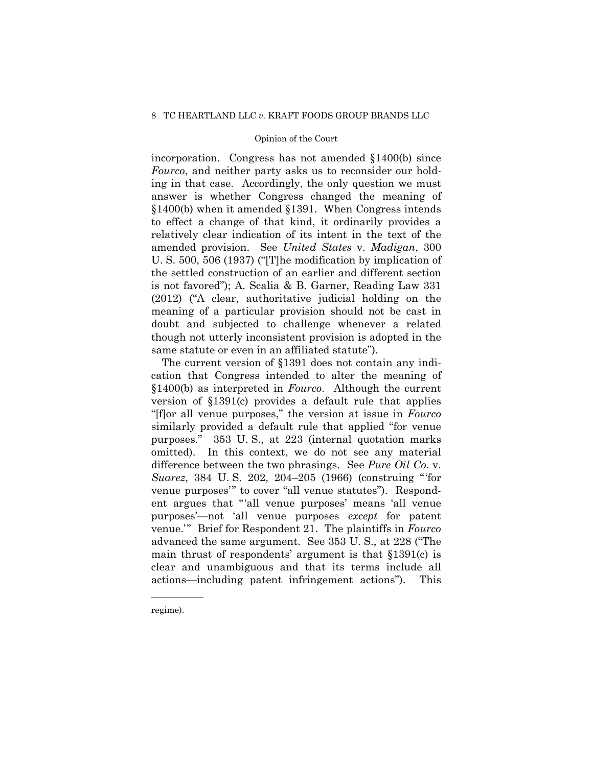## 8 TC HEARTLAND LLC *v.* KRAFT FOODS GROUP BRANDS LLC

## Opinion of the Court

incorporation. Congress has not amended §1400(b) since *Fourco*, and neither party asks us to reconsider our holding in that case. Accordingly, the only question we must answer is whether Congress changed the meaning of §1400(b) when it amended §1391. When Congress intends to effect a change of that kind, it ordinarily provides a relatively clear indication of its intent in the text of the amended provision. See *United States* v. *Madigan*, 300 U. S. 500, 506 (1937) ("[T]he modification by implication of the settled construction of an earlier and different section is not favored"); A. Scalia & B. Garner, Reading Law 331 (2012) ("A clear, authoritative judicial holding on the meaning of a particular provision should not be cast in doubt and subjected to challenge whenever a related though not utterly inconsistent provision is adopted in the same statute or even in an affiliated statute").

The current version of §1391 does not contain any indication that Congress intended to alter the meaning of §1400(b) as interpreted in *Fourco*. Although the current version of §1391(c) provides a default rule that applies "[f]or all venue purposes," the version at issue in *Fourco*  similarly provided a default rule that applied "for venue purposes." 353 U. S., at 223 (internal quotation marks omitted). In this context, we do not see any material difference between the two phrasings. See *Pure Oil Co.* v. *Suarez*, 384 U. S. 202, 204–205 (1966) (construing "'for venue purposes'" to cover "all venue statutes"). Respondent argues that "'all venue purposes' means 'all venue purposes'—not 'all venue purposes *except* for patent venue.'" Brief for Respondent 21. The plaintiffs in *Fourco*  advanced the same argument. See 353 U. S., at 228 ("The main thrust of respondents' argument is that §1391(c) is clear and unambiguous and that its terms include all actions—including patent infringement actions"). This

regime).

——————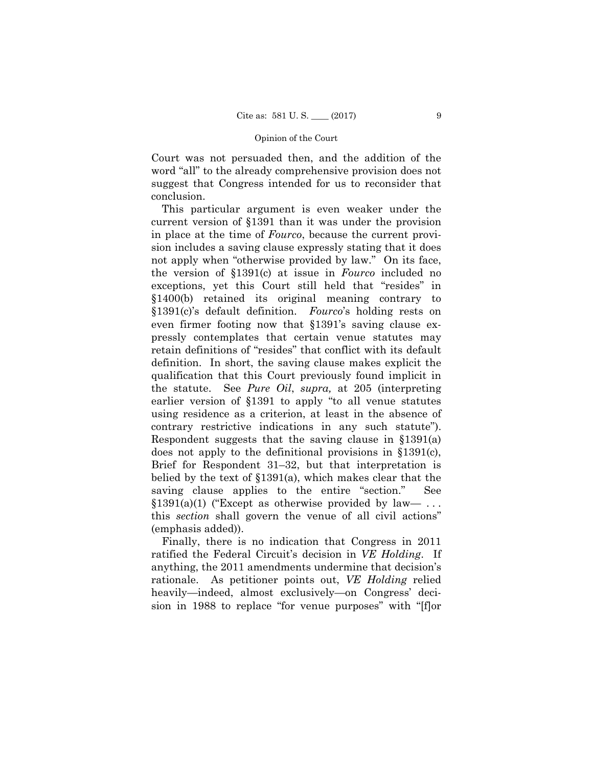Court was not persuaded then, and the addition of the word "all" to the already comprehensive provision does not suggest that Congress intended for us to reconsider that conclusion.

This particular argument is even weaker under the current version of §1391 than it was under the provision in place at the time of *Fourco*, because the current provision includes a saving clause expressly stating that it does not apply when "otherwise provided by law." On its face, the version of §1391(c) at issue in *Fourco* included no exceptions, yet this Court still held that "resides" in §1400(b) retained its original meaning contrary to §1391(c)'s default definition. *Fourco*'s holding rests on even firmer footing now that §1391's saving clause expressly contemplates that certain venue statutes may retain definitions of "resides" that conflict with its default definition. In short, the saving clause makes explicit the qualification that this Court previously found implicit in the statute. See *Pure Oil*, *supra,* at 205 (interpreting earlier version of §1391 to apply "to all venue statutes using residence as a criterion, at least in the absence of contrary restrictive indications in any such statute"). Respondent suggests that the saving clause in §1391(a) does not apply to the definitional provisions in §1391(c), Brief for Respondent 31–32, but that interpretation is belied by the text of §1391(a), which makes clear that the saving clause applies to the entire "section." See  $$1391(a)(1)$  ("Except as otherwise provided by law— ... this *section* shall govern the venue of all civil actions" (emphasis added)).

Finally, there is no indication that Congress in 2011 ratified the Federal Circuit's decision in *VE Holding*. If anything, the 2011 amendments undermine that decision's rationale. As petitioner points out, *VE Holding* relied heavily—indeed, almost exclusively—on Congress' decision in 1988 to replace "for venue purposes" with "[f]or